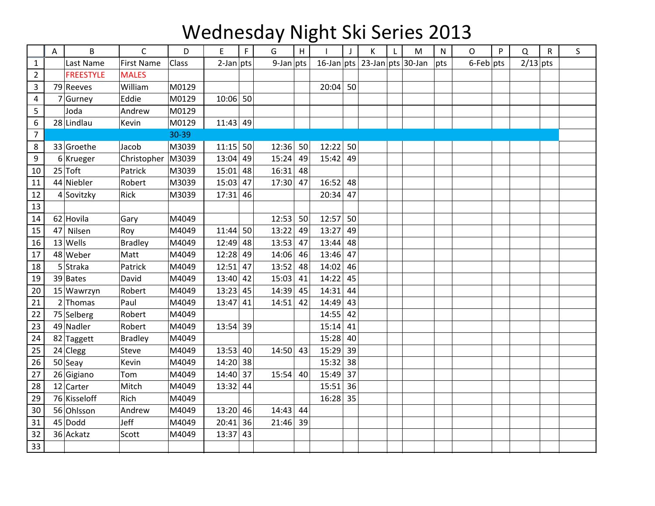## Wednesday Night Ski Series 2013

|                | Α  | B                | $\mathsf{C}$      | D     | E            | $\mathsf F$ | G            | H  |            | J  | К                                | L | M | $\mathsf{N}$ | O               | P | Q          | R | S. |
|----------------|----|------------------|-------------------|-------|--------------|-------------|--------------|----|------------|----|----------------------------------|---|---|--------------|-----------------|---|------------|---|----|
| $\mathbf{1}$   |    | Last Name        | <b>First Name</b> | Class | $2$ -Jan pts |             | $9$ -Jan pts |    |            |    | 16-Jan pts $ 23$ -Jan pts 30-Jan |   |   | pts          | $6$ -Feb $ pts$ |   | $2/13$ pts |   |    |
| $\overline{2}$ |    | <b>FREESTYLE</b> | <b>MALES</b>      |       |              |             |              |    |            |    |                                  |   |   |              |                 |   |            |   |    |
| 3              |    | 79 Reeves        | William           | M0129 |              |             |              |    | 20:04      | 50 |                                  |   |   |              |                 |   |            |   |    |
| $\overline{4}$ |    | 7 Gurney         | Eddie             | M0129 | $10:06$ 50   |             |              |    |            |    |                                  |   |   |              |                 |   |            |   |    |
| 5              |    | Joda             | Andrew            | M0129 |              |             |              |    |            |    |                                  |   |   |              |                 |   |            |   |    |
| 6              |    | 28 Lindlau       | Kevin             | M0129 | $11:43$ 49   |             |              |    |            |    |                                  |   |   |              |                 |   |            |   |    |
| $\overline{7}$ |    |                  |                   | 30-39 |              |             |              |    |            |    |                                  |   |   |              |                 |   |            |   |    |
| 8              |    | 33 Groethe       | Jacob             | M3039 | $11:15$ 50   |             | 12:36        | 50 | 12:22      | 50 |                                  |   |   |              |                 |   |            |   |    |
| 9              |    | $6$ Krueger      | Christopher       | M3039 | $13:04$ 49   |             | 15:24        | 49 | 15:42      | 49 |                                  |   |   |              |                 |   |            |   |    |
| 10             |    | $25$ Toft        | Patrick           | M3039 | $15:01$ 48   |             | 16:31        | 48 |            |    |                                  |   |   |              |                 |   |            |   |    |
| 11             |    | 44 Niebler       | Robert            | M3039 | $15:03$ 47   |             | 17:30        | 47 | 16:52      | 48 |                                  |   |   |              |                 |   |            |   |    |
| 12             |    | 4 Sovitzky       | Rick              | M3039 | $17:31$ 46   |             |              |    | 20:34      | 47 |                                  |   |   |              |                 |   |            |   |    |
| 13             |    |                  |                   |       |              |             |              |    |            |    |                                  |   |   |              |                 |   |            |   |    |
| 14             |    | 62 Hovila        | Gary              | M4049 |              |             | 12:53        | 50 | $12:57$ 50 |    |                                  |   |   |              |                 |   |            |   |    |
| 15             | 47 | Nilsen           | Roy               | M4049 | $11:44$ 50   |             | 13:22        | 49 | 13:27      | 49 |                                  |   |   |              |                 |   |            |   |    |
| 16             |    | $13$ Wells       | <b>Bradley</b>    | M4049 | $12:49$ 48   |             | 13:53        | 47 | 13:44      | 48 |                                  |   |   |              |                 |   |            |   |    |
| 17             |    | 48 Weber         | Matt              | M4049 | 12:28 49     |             | 14:06        | 46 | 13:46      | 47 |                                  |   |   |              |                 |   |            |   |    |
| 18             |    | 5 Straka         | Patrick           | M4049 | $12:51$ 47   |             | 13:52        | 48 | 14:02      | 46 |                                  |   |   |              |                 |   |            |   |    |
| 19             |    | $39$ Bates       | David             | M4049 | $13:40$ 42   |             | 15:03        | 41 | 14:22 45   |    |                                  |   |   |              |                 |   |            |   |    |
| 20             |    | 15 Wawrzyn       | Robert            | M4049 | $13:23$ 45   |             | 14:39        | 45 | 14:31      | 44 |                                  |   |   |              |                 |   |            |   |    |
| 21             |    | $2$ Thomas       | Paul              | M4049 | 13:47        | 41          | 14:51        | 42 | 14:49      | 43 |                                  |   |   |              |                 |   |            |   |    |
| 22             |    | 75 Selberg       | Robert            | M4049 |              |             |              |    | 14:55      | 42 |                                  |   |   |              |                 |   |            |   |    |
| 23             |    | 49 Nadler        | Robert            | M4049 | $13:54$ 39   |             |              |    | 15:14      | 41 |                                  |   |   |              |                 |   |            |   |    |
| 24             |    | 82 Taggett       | <b>Bradley</b>    | M4049 |              |             |              |    | $15:28$ 40 |    |                                  |   |   |              |                 |   |            |   |    |
| 25             |    | $24$ Clegg       | Steve             | M4049 | $13:53$ 40   |             | 14:50        | 43 | 15:29      | 39 |                                  |   |   |              |                 |   |            |   |    |
| 26             |    | $50$ Seay        | Kevin             | M4049 | $14:20$ 38   |             |              |    | $15:32$ 38 |    |                                  |   |   |              |                 |   |            |   |    |
| 27             |    | 26 Gigiano       | Tom               | M4049 | 14:40 37     |             | 15:54        | 40 | 15:49      | 37 |                                  |   |   |              |                 |   |            |   |    |
| 28             |    | 12 Carter        | Mitch             | M4049 | 13:32 44     |             |              |    | 15:51      | 36 |                                  |   |   |              |                 |   |            |   |    |
| 29             |    | 76 Kisseloff     | Rich              | M4049 |              |             |              |    | 16:28      | 35 |                                  |   |   |              |                 |   |            |   |    |
| 30             |    | 56 Ohlsson       | Andrew            | M4049 | $13:20$ 46   |             | 14:43        | 44 |            |    |                                  |   |   |              |                 |   |            |   |    |
| 31             |    | $45 $ Dodd       | Jeff              | M4049 | $20:41$ 36   |             | 21:46        | 39 |            |    |                                  |   |   |              |                 |   |            |   |    |
| 32             |    | 36 Ackatz        | Scott             | M4049 | 13:37        | 43          |              |    |            |    |                                  |   |   |              |                 |   |            |   |    |
| 33             |    |                  |                   |       |              |             |              |    |            |    |                                  |   |   |              |                 |   |            |   |    |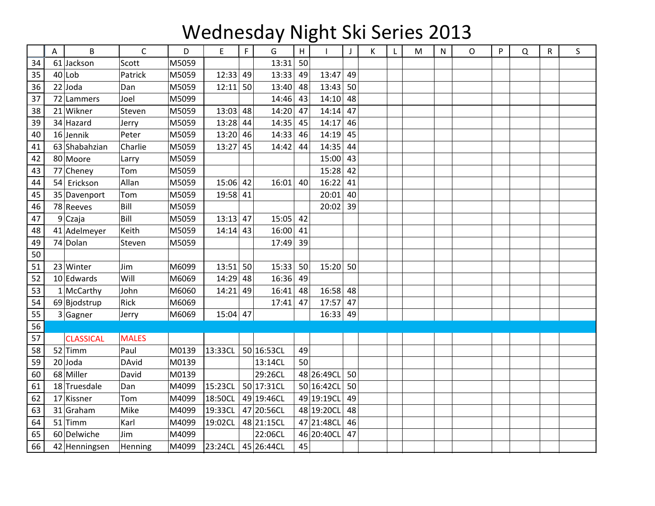## Wednesday Night Ski Series 2013

|    | A | B                | C            | D     | E          | F. | G          | H  |            | $\mathbf{J}$ | К | L | M | ${\sf N}$ | O | P | Q | R | S |
|----|---|------------------|--------------|-------|------------|----|------------|----|------------|--------------|---|---|---|-----------|---|---|---|---|---|
| 34 |   | 61 Jackson       | Scott        | M5059 |            |    | 13:31      | 50 |            |              |   |   |   |           |   |   |   |   |   |
| 35 |   | $40$  Lob        | Patrick      | M5059 | 12:33      | 49 | 13:33      | 49 | 13:47      | 49           |   |   |   |           |   |   |   |   |   |
| 36 |   | $22$ Joda        | Dan          | M5059 | $12:11$ 50 |    | 13:40      | 48 | 13:43      | 50           |   |   |   |           |   |   |   |   |   |
| 37 |   | 72 Lammers       | Joel         | M5099 |            |    | 14:46      | 43 | 14:10      | 48           |   |   |   |           |   |   |   |   |   |
| 38 |   | $21$ Wikner      | Steven       | M5059 | $13:03$ 48 |    | 14:20      | 47 | 14:14      | 47           |   |   |   |           |   |   |   |   |   |
| 39 |   | 34 Hazard        | Jerry        | M5059 | $13:28$ 44 |    | 14:35      | 45 | 14:17      | 46           |   |   |   |           |   |   |   |   |   |
| 40 |   | $16$ Jennik      | Peter        | M5059 | $13:20$ 46 |    | 14:33      | 46 | 14:19      | 45           |   |   |   |           |   |   |   |   |   |
| 41 |   | 63 Shabahzian    | Charlie      | M5059 | $13:27$ 45 |    | 14:42      | 44 | 14:35      | 44           |   |   |   |           |   |   |   |   |   |
| 42 |   | 80 Moore         | Larry        | M5059 |            |    |            |    | 15:00      | 43           |   |   |   |           |   |   |   |   |   |
| 43 |   | 77 Cheney        | Tom          | M5059 |            |    |            |    | 15:28      | 42           |   |   |   |           |   |   |   |   |   |
| 44 |   | 54 Erickson      | Allan        | M5059 | $15:06$ 42 |    | 16:01      | 40 | 16:22      | 41           |   |   |   |           |   |   |   |   |   |
| 45 |   | 35 Davenport     | Tom          | M5059 | 19:58 41   |    |            |    | 20:01      | 40           |   |   |   |           |   |   |   |   |   |
| 46 |   | 78 Reeves        | Bill         | M5059 |            |    |            |    | 20:02      | 39           |   |   |   |           |   |   |   |   |   |
| 47 |   | $9$ Czaja        | Bill         | M5059 | $13:13$ 47 |    | 15:05      | 42 |            |              |   |   |   |           |   |   |   |   |   |
| 48 |   | 41 Adelmeyer     | Keith        | M5059 | $14:14$ 43 |    | 16:00      | 41 |            |              |   |   |   |           |   |   |   |   |   |
| 49 |   | 74 Dolan         | Steven       | M5059 |            |    | 17:49      | 39 |            |              |   |   |   |           |   |   |   |   |   |
| 50 |   |                  |              |       |            |    |            |    |            |              |   |   |   |           |   |   |   |   |   |
| 51 |   | 23 Winter        | Jim          | M6099 | $13:51$ 50 |    | 15:33      | 50 | 15:20      | 50           |   |   |   |           |   |   |   |   |   |
| 52 |   | 10 Edwards       | Will         | M6069 | 14:29 48   |    | 16:36      | 49 |            |              |   |   |   |           |   |   |   |   |   |
| 53 |   | $1$ McCarthy     | John         | M6060 | $14:21$ 49 |    | 16:41      | 48 | 16:58      | 48           |   |   |   |           |   |   |   |   |   |
| 54 |   | 69 Bjodstrup     | Rick         | M6069 |            |    | 17:41      | 47 | 17:57      | 47           |   |   |   |           |   |   |   |   |   |
| 55 |   | 3 Gagner         | Jerry        | M6069 | $15:04$ 47 |    |            |    | 16:33      | 49           |   |   |   |           |   |   |   |   |   |
| 56 |   |                  |              |       |            |    |            |    |            |              |   |   |   |           |   |   |   |   |   |
| 57 |   | <b>CLASSICAL</b> | <b>MALES</b> |       |            |    |            |    |            |              |   |   |   |           |   |   |   |   |   |
| 58 |   | $52$ Timm        | Paul         | M0139 | 13:33CL    |    | 50 16:53CL | 49 |            |              |   |   |   |           |   |   |   |   |   |
| 59 |   | $20$ Joda        | <b>DAvid</b> | M0139 |            |    | 13:14CL    | 50 |            |              |   |   |   |           |   |   |   |   |   |
| 60 |   | 68 Miller        | David        | M0139 |            |    | 29:26CL    |    | 48 26:49CL | 50           |   |   |   |           |   |   |   |   |   |
| 61 |   | 18 Truesdale     | Dan          | M4099 | 15:23CL    |    | 50 17:31CL |    | 50 16:42CL | 50           |   |   |   |           |   |   |   |   |   |
| 62 |   | 17 Kissner       | Tom          | M4099 | 18:50CL    |    | 49 19:46CL |    | 49 19:19CL | 49           |   |   |   |           |   |   |   |   |   |
| 63 |   | 31 Graham        | Mike         | M4099 | 19:33CL    |    | 47 20:56CL |    | 48 19:20CL | 48           |   |   |   |           |   |   |   |   |   |
| 64 |   | $51$ Timm        | Karl         | M4099 | 19:02CL    |    | 48 21:15CL |    | 47 21:48CL | 46           |   |   |   |           |   |   |   |   |   |
| 65 |   | 60 Delwiche      | Jim          | M4099 |            |    | 22:06CL    |    | 46 20:40CL | 47           |   |   |   |           |   |   |   |   |   |
| 66 |   | 42 Henningsen    | Henning      | M4099 | 23:24CL    |    | 45 26:44CL | 45 |            |              |   |   |   |           |   |   |   |   |   |